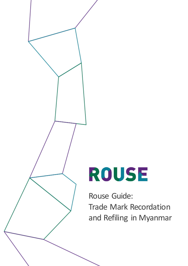## ROUSE

Rouse Guide: Trade Mark Recordation and Refiling in Myanmar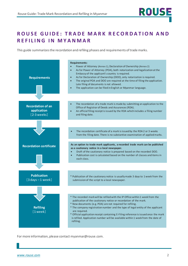## **ROUSE GUIDE: TRADE MARK RECORDATION AND REFILING IN MYANMAR**

This guide summarizes the recordation and refiling phases and requirements of trade marks.



For more information, please contact myanmar@rouse.com.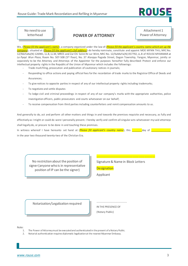

No need to use letterhead

## **POWER OF ATTORNEY**

Attachment 1 Power of Attorney

We, (Please fill the applicant's name), a company organized under the law of (Please fill the applicant's country name which set up the *company*), situated at (*Please fill the applicant's full address*) do hereby nominate, constitute and appoint MOE MYNN THU, NRC No. 12/MaYaKa(N) 126981, LL.B, LL.M, MRES and Zar Chi Seinn Ni Lar Wint, NRC No. 12/KaMaYa(N) 057792, LL.B of ROUSE MYANMAR at *La Pyayt Wun Plaza*, Room No. 507-508 (5th floor), No. 37 Alanpya Pagoda Street, Dagon Township, Yangon, Myanmar, jointly or separately to be the Attorney and Attorneys of the Appointer for the purposes hereafter fully described: Protect and enforce our intellectual property rights in the Republic of the Union of Myanmar which includes the followings:

- Trade mark filing, prosecution and publication of cautionary notices in journals;
- Responding to office actions and paying official fees for the recordation of trade marks to the Registrar Office of Deeds and Assurances;
- To give notices to opposite parties in respect of any of our intellectual property rights including trademarks;
- To negotiate and settle disputes
- To lodge civil and criminal proceedings in respect of any of our company's marks with the appropriate authorities, police investigation officers, public prosecutors and courts whatsoever on our behalf;
- To receive compensation from third parties including counterfeiters and remit compensation amounts to us.

And generally to do, act and perform all other matters and things in and towards the premises requisite and necessary, as fully and effectively as I might or could do were I personally present. I hereby verify and confirm all singular acts whatsoever my said attorneys shall legally do, or procure to be done in and touching these premises.

In witness whereof I have hereunto set hand at (*Please fill applicant's country name*), this a capacal day of in the year two thousand twenty-two of the Christian Era.

— продукт продукт продукт продукт продукт продукт продукт продукт продукт продукт продукт продукт продукт прод

No restriction about the position of signer (anyone who is in representative position of IP can be the signer)

Signature & Name in Block Letters

**Designation** 

Applicant

Notarization/Legalization required

IN THE PRESENCE OF (Notary Public)

…………………………………………

Note:

- 1. The Power of Attorney must be executed and authenticated in the present of a Notary Public.
- 2. Notarial authentication requires diplomatic legalization at the nearest Myanmar Embassy.